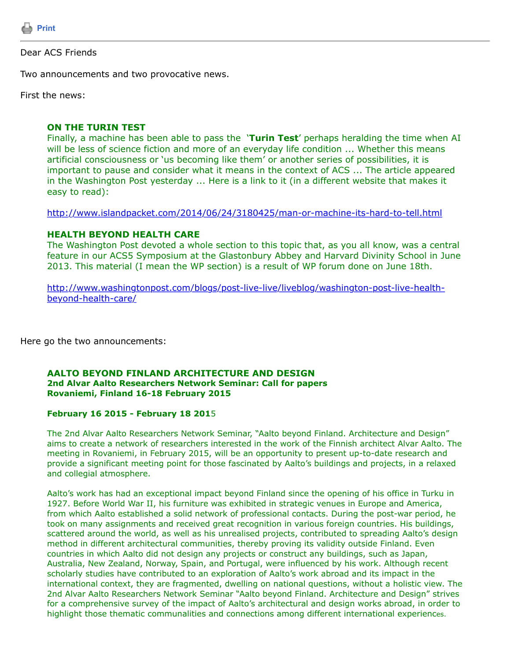

## Dear ACS Friends

Two announcements and two provocative news.

First the news:

## **ON THE TURIN TEST**

Finally, a machine has been able to pass the '**Turin Test**' perhaps heralding the time when AI will be less of science fiction and more of an everyday life condition ... Whether this means artificial consciousness or 'us becoming like them' or another series of possibilities, it is important to pause and consider what it means in the context of ACS ... The article appeared in the Washington Post yesterday ... Here is a link to it (in a different website that makes it easy to read):

<http://www.islandpacket.com/2014/06/24/3180425/man-or-machine-its-hard-to-tell.html>

# **HEALTH BEYOND HEALTH CARE**

The Washington Post devoted a whole section to this topic that, as you all know, was a central feature in our ACS5 Symposium at the Glastonbury Abbey and Harvard Divinity School in June 2013. This material (I mean the WP section) is a result of WP forum done on June 18th.

[http://www.washingtonpost.com/blogs/post-live-live/liveblog/washington-post-live-health](http://www.washingtonpost.com/blogs/post-live-live/liveblog/washington-post-live-health-beyond-health-care/)beyond-health-care/

Here go the two announcements:

### **AALTO BEYOND FINLAND ARCHITECTURE AND DESIGN 2nd Alvar Aalto Researchers Network Seminar: Call for papers Rovaniemi, Finland 16-18 February 2015**

## **February 16 2015 - February 18 201**5

The 2nd Alvar Aalto Researchers Network Seminar, "Aalto beyond Finland. Architecture and Design" aims to create a network of researchers interested in the work of the Finnish architect Alvar Aalto. The meeting in Rovaniemi, in February 2015, will be an opportunity to present up-to-date research and provide a significant meeting point for those fascinated by Aalto's buildings and projects, in a relaxed and collegial atmosphere.

Aalto's work has had an exceptional impact beyond Finland since the opening of his office in Turku in 1927. Before World War II, his furniture was exhibited in strategic venues in Europe and America, from which Aalto established a solid network of professional contacts. During the post-war period, he took on many assignments and received great recognition in various foreign countries. His buildings, scattered around the world, as well as his unrealised projects, contributed to spreading Aalto's design method in different architectural communities, thereby proving its validity outside Finland. Even countries in which Aalto did not design any projects or construct any buildings, such as Japan, Australia, New Zealand, Norway, Spain, and Portugal, were influenced by his work. Although recent scholarly studies have contributed to an exploration of Aalto's work abroad and its impact in the international context, they are fragmented, dwelling on national questions, without a holistic view. The 2nd Alvar Aalto Researchers Network Seminar "Aalto beyond Finland. Architecture and Design" strives for a comprehensive survey of the impact of Aalto's architectural and design works abroad, in order to highlight those thematic communalities and connections among different international experiences.